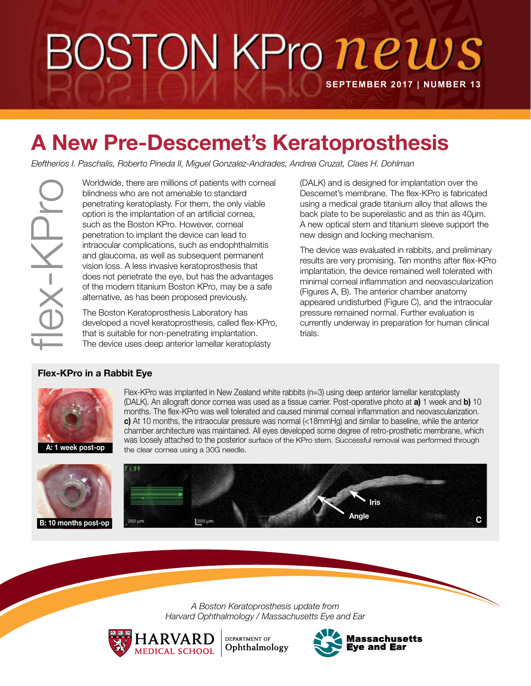# BOSTON KPro news **SEPTEMBER 2017 | NUMBER 13**

# A New Pre-Descemet's Keratoprosthesis

*Eleftherios I. Paschalis, Roberto Pineda II, Miguel Gonzalez-Andrades, Andrea Cruzat, Claes H. Dohlman*

Worldwide, there are millions of patients with corneal blindness who are not amenable to standard penetrating keratoplasty. For them, the only viable option is the implantation of an artificial cornea, such as the Boston KPro. However, corneal penetration to implant the device can lead to intraocular complications, such as endophthalmitis and glaucoma, as well as subsequent permanent vision loss. A less invasive keratoprosthesis that does not penetrate the eye, but has the advantages of the modern titanium Boston KPro, may be a safe alternative, as has been proposed previously.

The Boston Keratoprosthesis Laboratory has developed a novel keratoprosthesis, called flex-KPro, that is suitable for non-penetrating implantation. The device uses deep anterior lamellar keratoplasty

(DALK) and is designed for implantation over the Descemet's membrane. The flex-KPro is fabricated using a medical grade titanium alloy that allows the back plate to be superelastic and as thin as 40μm. A new optical stem and titanium sleeve support the new design and locking mechanism.

The device was evaluated in rabbits, and preliminary results are very promising. Ten months after flex-KPro implantation, the device remained well tolerated with minimal corneal inflammation and neovascularization (Figures A, B). The anterior chamber anatomy appeared undisturbed (Figure C), and the intraocular pressure remained normal. Further evaluation is currently underway in preparation for human clinical trials.

#### Flex-KPro in a Rabbit Eye



Flex-KPro was implanted in New Zealand white rabbits (n=3) using deep anterior lamellar keratoplasty (DALK). An allograft donor cornea was used as a tissue carrier. Post-operative photo at **a)** 1 week and **b)** 10 months. The flex-KPro was well tolerated and caused minimal corneal inflammation and neovascularization. c) At 10 months, the intraocular pressure was normal (<18mmHg) and similar to baseline, while the anterior chamber architecture was maintained. All eyes developed some degree of retro-prosthetic membrane, which was loosely attached to the posterior surface of the KPro stem. Successful removal was performed through A: 1 week post-op the clear cornea using a 30G needle. Monteview there are millions of paidents with correspond the material on over the post-option is the post-option is the material of the subsection of the control of the control of the control of the control of the control



*A Boston Keratoprosthesis update from Harvard Ophthalmology / Massachusetts Eye and Ear* 

DEPARTMENT OF





Iris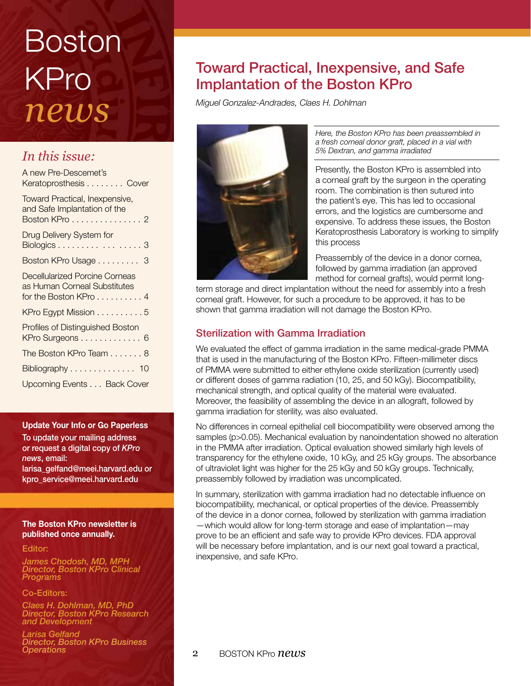# Boston KPro *news*

#### *In this issue:*

| A new Pre-Descemet's<br>Keratoprosthesis Cover                                          |
|-----------------------------------------------------------------------------------------|
| <b>Toward Practical, Inexpensive,</b><br>and Safe Implantation of the<br>Boston KPro 2  |
| Drug Delivery System for<br>Biologics 3                                                 |
| Boston KPro Usage 3                                                                     |
| Decellularized Porcine Corneas<br>as Human Corneal Substitutes<br>for the Boston KPro 4 |
| KPro Egypt Mission $\ldots \ldots \ldots 5$                                             |
| <b>Profiles of Distinguished Boston</b><br>KPro Surgeons 6                              |
| The Boston KPro Team 8                                                                  |
| Bibliography 10                                                                         |
| Upcoming Events Back Cover                                                              |
|                                                                                         |

Update Your Info or Go Paperless To update your mailing address or request a digital copy of *KPro news*, email: larisa\_gelfand@meei.harvard.edu or kpro\_service@meei.harvard.edu

The Boston KPro newsletter is published once annually.

#### Editor:

*James Chodosh, MD, MPH Director, Boston KPro Clinical Programs*

#### Co-Editors:

*Claes H. Dohlman, MD, PhD Director, Boston KPro Research and Development*

*Larisa Gelfand Director, Boston KPro Business Operations*

### Toward Practical, Inexpensive, and Safe Implantation of the Boston KPro

*Miguel Gonzalez-Andrades, Claes H. Dohlman*



*Here, the Boston KPro has been preassembled in a fresh corneal donor graft, placed in a vial with 5% Dextran, and gamma irradiated*

Presently, the Boston KPro is assembled into a corneal graft by the surgeon in the operating room. The combination is then sutured into the patient's eye. This has led to occasional errors, and the logistics are cumbersome and expensive. To address these issues, the Boston Keratoprosthesis Laboratory is working to simplify this process

Preassembly of the device in a donor cornea, followed by gamma irradiation (an approved method for corneal grafts), would permit long-

term storage and direct implantation without the need for assembly into a fresh corneal graft. However, for such a procedure to be approved, it has to be shown that gamma irradiation will not damage the Boston KPro.

#### Sterilization with Gamma Irradiation

We evaluated the effect of gamma irradiation in the same medical-grade PMMA that is used in the manufacturing of the Boston KPro. Fifteen-millimeter discs of PMMA were submitted to either ethylene oxide sterilization (currently used) or different doses of gamma radiation (10, 25, and 50 kGy). Biocompatibility, mechanical strength, and optical quality of the material were evaluated. Moreover, the feasibility of assembling the device in an allograft, followed by gamma irradiation for sterility, was also evaluated.

No differences in corneal epithelial cell biocompatibility were observed among the samples (p>0.05). Mechanical evaluation by nanoindentation showed no alteration in the PMMA after irradiation. Optical evaluation showed similarly high levels of transparency for the ethylene oxide, 10 kGy, and 25 kGy groups. The absorbance of ultraviolet light was higher for the 25 kGy and 50 kGy groups. Technically, preassembly followed by irradiation was uncomplicated.

In summary, sterilization with gamma irradiation had no detectable influence on biocompatibility, mechanical, or optical properties of the device. Preassembly of the device in a donor cornea, followed by sterilization with gamma irradiation —which would allow for long-term storage and ease of implantation—may prove to be an efficient and safe way to provide KPro devices. FDA approval will be necessary before implantation, and is our next goal toward a practical, inexpensive, and safe KPro.

2 BOSTON KPro *news*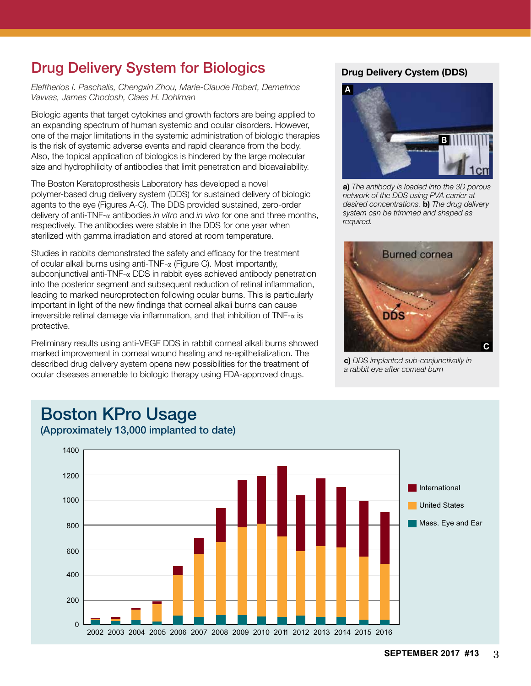# Drug Delivery System for Biologics

*Eleftherios I. Paschalis, Chengxin Zhou, Marie-Claude Robert, Demetrios Vavvas, James Chodosh, Claes H. Dohlman*

Biologic agents that target cytokines and growth factors are being applied to an expanding spectrum of human systemic and ocular disorders. However, one of the major limitations in the systemic administration of biologic therapies is the risk of systemic adverse events and rapid clearance from the body. Also, the topical application of biologics is hindered by the large molecular size and hydrophilicity of antibodies that limit penetration and bioavailability.

The Boston Keratoprosthesis Laboratory has developed a novel polymer-based drug delivery system (DDS) for sustained delivery of biologic agents to the eye (Figures A-C). The DDS provided sustained, zero-order delivery of anti-TNF-α antibodies *in vitro* and *in vivo* for one and three months, respectively. The antibodies were stable in the DDS for one year when sterilized with gamma irradiation and stored at room temperature.

Studies in rabbits demonstrated the safety and efficacy for the treatment of ocular alkali burns using anti-TNF-α (Figure C). Most importantly, subconjunctival anti-TNF-α DDS in rabbit eyes achieved antibody penetration into the posterior segment and subsequent reduction of retinal inflammation, leading to marked neuroprotection following ocular burns. This is particularly important in light of the new findings that corneal alkali burns can cause irreversible retinal damage via inflammation, and that inhibition of  $TNF_{\alpha}$  is protective.

Preliminary results using anti-VEGF DDS in rabbit corneal alkali burns showed marked improvement in corneal wound healing and re-epithelialization. The described drug delivery system opens new possibilities for the treatment of ocular diseases amenable to biologic therapy using FDA-approved drugs.

#### Drug Delivery Cystem (DDS)



a) *The antibody is loaded into the 3D porous network of the DDS using PVA carrier at desired concentrations.* b) *The drug delivery system can be trimmed and shaped as required.*



c) *DDS implanted sub-conjunctivally in a rabbit eye after corneal burn*

# Boston KPro Usage

(Approximately 13,000 implanted to date)

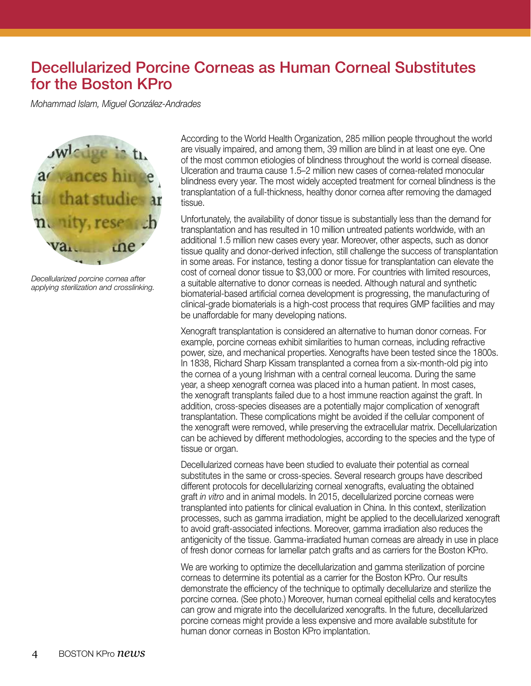## Decellularized Porcine Corneas as Human Corneal Substitutes for the Boston KPro

*Mohammad Islam, Miguel González-Andrades* 



*Decellularized porcine cornea after applying sterilization and crosslinking.* 

According to the World Health Organization, 285 million people throughout the world are visually impaired, and among them, 39 million are blind in at least one eye. One of the most common etiologies of blindness throughout the world is corneal disease. Ulceration and trauma cause 1.5–2 million new cases of cornea-related monocular blindness every year. The most widely accepted treatment for corneal blindness is the transplantation of a full-thickness, healthy donor cornea after removing the damaged tissue.

Unfortunately, the availability of donor tissue is substantially less than the demand for transplantation and has resulted in 10 million untreated patients worldwide, with an additional 1.5 million new cases every year. Moreover, other aspects, such as donor tissue quality and donor-derived infection, still challenge the success of transplantation in some areas. For instance, testing a donor tissue for transplantation can elevate the cost of corneal donor tissue to \$3,000 or more. For countries with limited resources, a suitable alternative to donor corneas is needed. Although natural and synthetic biomaterial-based artificial cornea development is progressing, the manufacturing of clinical-grade biomaterials is a high-cost process that requires GMP facilities and may be unaffordable for many developing nations.

Xenograft transplantation is considered an alternative to human donor corneas. For example, porcine corneas exhibit similarities to human corneas, including refractive power, size, and mechanical properties. Xenografts have been tested since the 1800s. In 1838, Richard Sharp Kissam transplanted a cornea from a six-month-old pig into the cornea of a young Irishman with a central corneal leucoma. During the same year, a sheep xenograft cornea was placed into a human patient. In most cases, the xenograft transplants failed due to a host immune reaction against the graft. In addition, cross-species diseases are a potentially major complication of xenograft transplantation. These complications might be avoided if the cellular component of the xenograft were removed, while preserving the extracellular matrix. Decellularization can be achieved by different methodologies, according to the species and the type of tissue or organ.

Decellularized corneas have been studied to evaluate their potential as corneal substitutes in the same or cross-species. Several research groups have described different protocols for decellularizing corneal xenografts, evaluating the obtained graft *in vitro* and in animal models. In 2015, decellularized porcine corneas were transplanted into patients for clinical evaluation in China. In this context, sterilization processes, such as gamma irradiation, might be applied to the decellularized xenograft to avoid graft-associated infections. Moreover, gamma irradiation also reduces the antigenicity of the tissue. Gamma-irradiated human corneas are already in use in place of fresh donor corneas for lamellar patch grafts and as carriers for the Boston KPro.

We are working to optimize the decellularization and gamma sterilization of porcine corneas to determine its potential as a carrier for the Boston KPro. Our results demonstrate the efficiency of the technique to optimally decellularize and sterilize the porcine cornea. (See photo.) Moreover, human corneal epithelial cells and keratocytes can grow and migrate into the decellularized xenografts. In the future, decellularized porcine corneas might provide a less expensive and more available substitute for human donor corneas in Boston KPro implantation.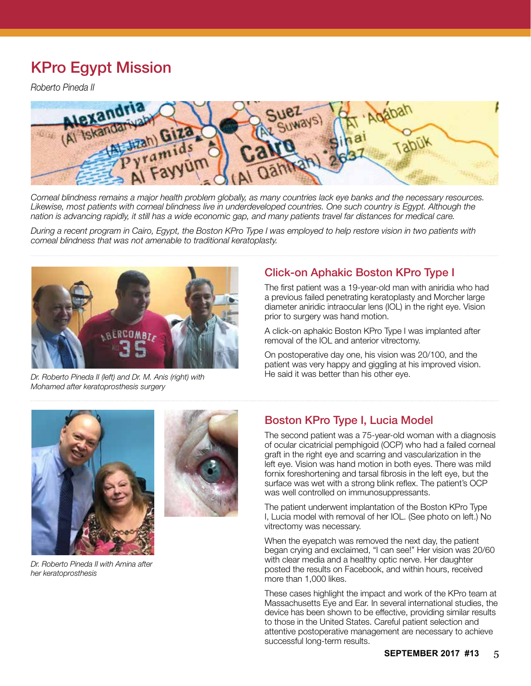# KPro Egypt Mission

*Roberto Pineda II*



*Corneal blindness remains a major health problem globally, as many countries lack eye banks and the necessary resources.*  Likewise, most patients with corneal blindness live in underdeveloped countries. One such country is Egypt. Although the *nation is advancing rapidly, it still has a wide economic gap, and many patients travel far distances for medical care.* 

*During a recent program in Cairo, Egypt, the Boston KPro Type I was employed to help restore vision in two patients with corneal blindness that was not amenable to traditional keratoplasty.*



*Dr. Roberto Pineda II (left) and Dr. M. Anis (right) with Mohamed after keratoprosthesis surgery*

#### Click-on Aphakic Boston KPro Type I

The first patient was a 19-year-old man with aniridia who had a previous failed penetrating keratoplasty and Morcher large diameter aniridic intraocular lens (IOL) in the right eye. Vision prior to surgery was hand motion.

A click-on aphakic Boston KPro Type I was implanted after removal of the IOL and anterior vitrectomy.

On postoperative day one, his vision was 20/100, and the patient was very happy and giggling at his improved vision. He said it was better than his other eye.



*Dr. Roberto Pineda II with Amina after her keratoprosthesis*

#### Boston KPro Type I, Lucia Model

The second patient was a 75-year-old woman with a diagnosis of ocular cicatricial pemphigoid (OCP) who had a failed corneal graft in the right eye and scarring and vascularization in the left eye. Vision was hand motion in both eyes. There was mild fornix foreshortening and tarsal fibrosis in the left eye, but the surface was wet with a strong blink reflex. The patient's OCP was well controlled on immunosuppressants.

The patient underwent implantation of the Boston KPro Type I, Lucia model with removal of her IOL. (See photo on left.) No vitrectomy was necessary.

When the eyepatch was removed the next day, the patient began crying and exclaimed, "I can see!" Her vision was 20/60 with clear media and a healthy optic nerve. Her daughter posted the results on Facebook, and within hours, received more than 1,000 likes.

These cases highlight the impact and work of the KPro team at Massachusetts Eye and Ear. In several international studies, the device has been shown to be effective, providing similar results to those in the United States. Careful patient selection and attentive postoperative management are necessary to achieve successful long-term results.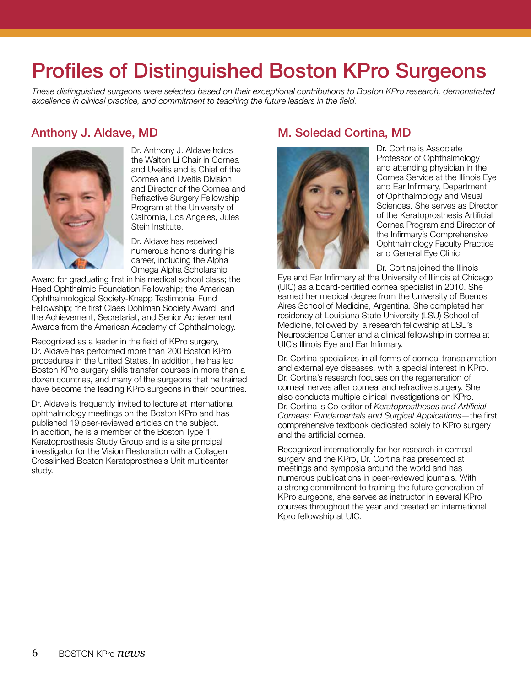# Profiles of Distinguished Boston KPro Surgeons

*These distinguished surgeons were selected based on their exceptional contributions to Boston KPro research, demonstrated excellence in clinical practice, and commitment to teaching the future leaders in the field.*

#### Anthony J. Aldave, MD



Dr. Anthony J. Aldave holds the Walton Li Chair in Cornea and Uveitis and is Chief of the Cornea and Uveitis Division and Director of the Cornea and Refractive Surgery Fellowship Program at the University of California, Los Angeles, Jules Stein Institute.

Dr. Aldave has received numerous honors during his career, including the Alpha Omega Alpha Scholarship

Award for graduating first in his medical school class; the Heed Ophthalmic Foundation Fellowship; the American Ophthalmological Society-Knapp Testimonial Fund Fellowship; the first Claes Dohlman Society Award; and the Achievement, Secretariat, and Senior Achievement Awards from the American Academy of Ophthalmology.

Recognized as a leader in the field of KPro surgery, Dr. Aldave has performed more than 200 Boston KPro procedures in the United States. In addition, he has led Boston KPro surgery skills transfer courses in more than a dozen countries, and many of the surgeons that he trained have become the leading KPro surgeons in their countries.

Dr. Aldave is frequently invited to lecture at international ophthalmology meetings on the Boston KPro and has published 19 peer-reviewed articles on the subject. In addition, he is a member of the Boston Type 1 Keratoprosthesis Study Group and is a site principal investigator for the Vision Restoration with a Collagen Crosslinked Boston Keratoprosthesis Unit multicenter study.

#### M. Soledad Cortina, MD



Dr. Cortina is Associate Professor of Ophthalmology and attending physician in the Cornea Service at the Illinois Eye and Ear Infirmary, Department of Ophthalmology and Visual Sciences. She serves as Director of the Keratoprosthesis Artificial Cornea Program and Director of the Infirmary's Comprehensive Ophthalmology Faculty Practice and General Eye Clinic.

Dr. Cortina joined the Illinois

Eye and Ear Infirmary at the University of Illinois at Chicago (UIC) as a board-certified cornea specialist in 2010. She earned her medical degree from the University of Buenos Aires School of Medicine, Argentina. She completed her residency at Louisiana State University (LSU) School of Medicine, followed by a research fellowship at LSU's Neuroscience Center and a clinical fellowship in cornea at UIC's Illinois Eye and Ear Infirmary.

Dr. Cortina specializes in all forms of corneal transplantation and external eye diseases, with a special interest in KPro. Dr. Cortina's research focuses on the regeneration of corneal nerves after corneal and refractive surgery. She also conducts multiple clinical investigations on KPro. Dr. Cortina is Co-editor of *Keratoprostheses and Artificial Corneas: Fundamentals and Surgical Applications*—the first comprehensive textbook dedicated solely to KPro surgery and the artificial cornea.

Recognized internationally for her research in corneal surgery and the KPro, Dr. Cortina has presented at meetings and symposia around the world and has numerous publications in peer-reviewed journals. With a strong commitment to training the future generation of KPro surgeons, she serves as instructor in several KPro courses throughout the year and created an international Kpro fellowship at UIC.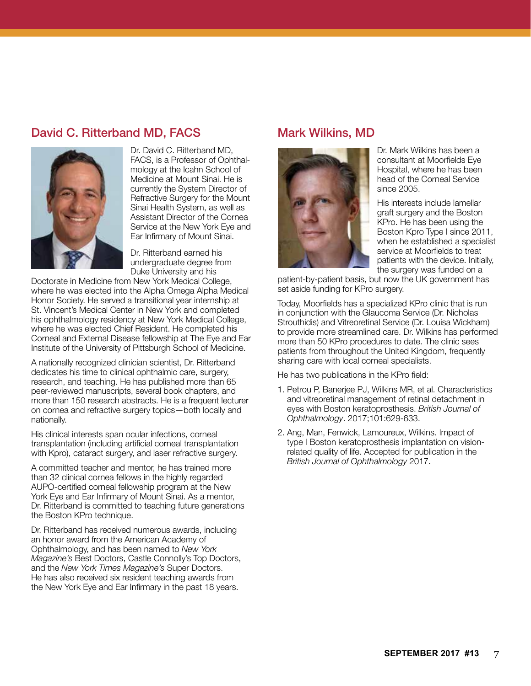#### David C. Ritterband MD, FACS



Dr. David C. Ritterband MD, FACS, is a Professor of Ophthalmology at the Icahn School of Medicine at Mount Sinai. He is currently the System Director of Refractive Surgery for the Mount Sinai Health System, as well as Assistant Director of the Cornea Service at the New York Eye and Ear Infirmary of Mount Sinai.

Dr. Ritterband earned his undergraduate degree from Duke University and his

Doctorate in Medicine from New York Medical College, where he was elected into the Alpha Omega Alpha Medical Honor Society. He served a transitional year internship at St. Vincent's Medical Center in New York and completed his ophthalmology residency at New York Medical College, where he was elected Chief Resident. He completed his Corneal and External Disease fellowship at The Eye and Ear Institute of the University of Pittsburgh School of Medicine.

A nationally recognized clinician scientist, Dr. Ritterband dedicates his time to clinical ophthalmic care, surgery, research, and teaching. He has published more than 65 peer-reviewed manuscripts, several book chapters, and more than 150 research abstracts. He is a frequent lecturer on cornea and refractive surgery topics—both locally and nationally.

His clinical interests span ocular infections, corneal transplantation (including artificial corneal transplantation with Kpro), cataract surgery, and laser refractive surgery.

A committed teacher and mentor, he has trained more than 32 clinical cornea fellows in the highly regarded AUPO-certified corneal fellowship program at the New York Eye and Ear Infirmary of Mount Sinai. As a mentor, Dr. Ritterband is committed to teaching future generations the Boston KPro technique.

Dr. Ritterband has received numerous awards, including an honor award from the American Academy of Ophthalmology, and has been named to *New York Magazine's* Best Doctors, Castle Connolly's Top Doctors, and the *New York Times Magazine's* Super Doctors. He has also received six resident teaching awards from the New York Eye and Ear Infirmary in the past 18 years.

#### Mark Wilkins, MD



Dr. Mark Wilkins has been a consultant at Moorfields Eye Hospital, where he has been head of the Corneal Service since 2005.

His interests include lamellar graft surgery and the Boston KPro. He has been using the Boston Kpro Type I since 2011, when he established a specialist service at Moorfields to treat patients with the device. Initially, the surgery was funded on a

patient-by-patient basis, but now the UK government has set aside funding for KPro surgery.

Today, Moorfields has a specialized KPro clinic that is run in conjunction with the Glaucoma Service (Dr. Nicholas Strouthidis) and Vitreoretinal Service (Dr. Louisa Wickham) to provide more streamlined care. Dr. Wilkins has performed more than 50 KPro procedures to date. The clinic sees patients from throughout the United Kingdom, frequently sharing care with local corneal specialists.

He has two publications in the KPro field:

- 1. Petrou P, Banerjee PJ, Wilkins MR, et al. Characteristics and vitreoretinal management of retinal detachment in eyes with Boston keratoprosthesis. *British Journal of Ophthalmology*. 2017;101:629-633.
- 2. Ang, Man, Fenwick, Lamoureux, Wilkins. Impact of type I Boston keratoprosthesis implantation on visionrelated quality of life. Accepted for publication in the *British Journal of Ophthalmology* 2017.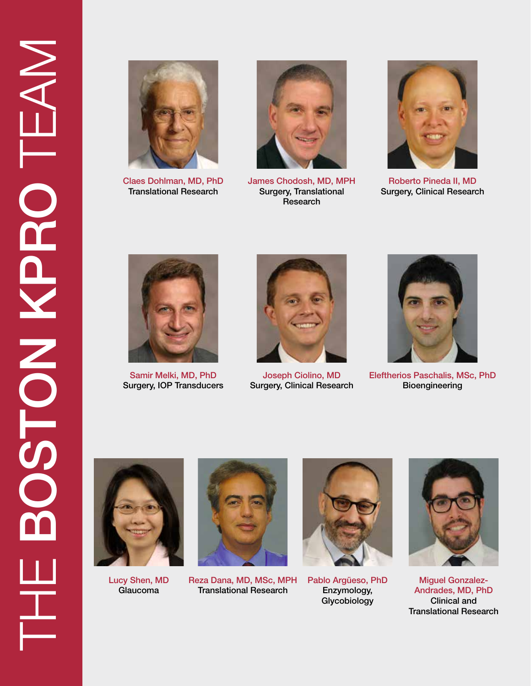

Claes Dohlman, MD, PhD Translational Research



James Chodosh, MD, MPH Surgery, Translational Research



Roberto Pineda II, MD Surgery, Clinical Research



Samir Melki, MD, PhD Surgery, IOP Transducers



Joseph Ciolino, MD Surgery, Clinical Research



Eleftherios Paschalis, MSc, PhD **Bioengineering** 



Lucy Shen, MD Glaucoma



Reza Dana, MD, MSc, MPH Translational Research



Pablo Argüeso, PhD Enzymology, Glycobiology



Miguel Gonzalez-Andrades, MD, PhD Clinical and Translational Research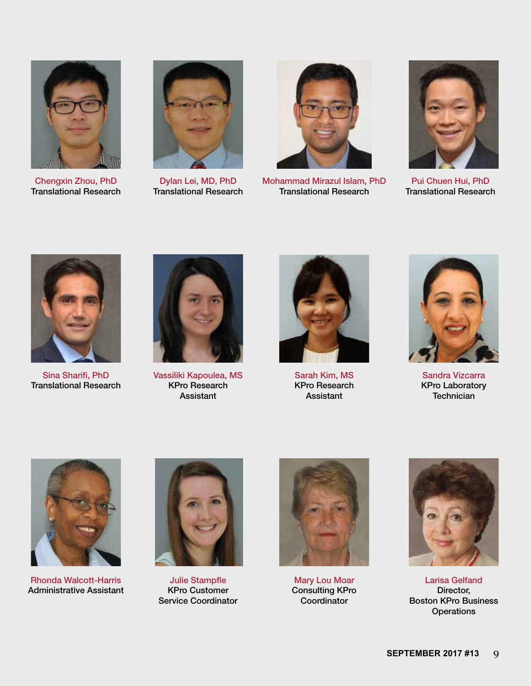

Chengxin Zhou, PhD Translational Research



Dylan Lei, MD, PhD Translational Research



Mohammad Mirazul Islam, PhD Translational Research



Pui Chuen Hui, PhD Translational Research



Sina Sharifi, PhD Translational Research



Vassiliki Kapoulea, MS KPro Research Assistant



Sarah Kim, MS KPro Research Assistant



Sandra Vizcarra KPro Laboratory **Technician** 



Rhonda Walcott-Harris Administrative Assistant



Julie Stampfle KPro Customer Service Coordinator



Mary Lou Moar Consulting KPro **Coordinator** 



Larisa Gelfand Director, Boston KPro Business **Operations**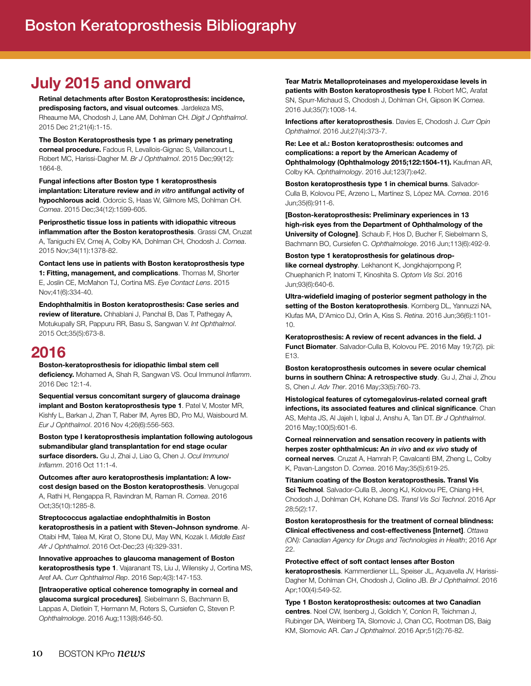### July 2015 and onward

Retinal detachments after Boston Keratoprosthesis: incidence, predisposing factors, and visual outcomes. Jardeleza MS, Rheaume MA, Chodosh J, Lane AM, Dohlman CH. *Digit J Ophthalmol*. 2015 Dec 21;21(4):1-15.

The Boston Keratoprosthesis type 1 as primary penetrating corneal procedure. Fadous R, Levallois-Gignac S, Vaillancourt L, Robert MC, Harissi-Dagher M. *Br J Ophthalmol*. 2015 Dec;99(12): 1664-8.

Fungal infections after Boston type 1 keratoprosthesis implantation: Literature review and *in vitro* antifungal activity of hypochlorous acid. Odorcic S, Haas W, Gilmore MS, Dohlman CH. *Cornea*. 2015 Dec;34(12):1599-605.

Periprosthetic tissue loss in patients with idiopathic vitreous inflammation after the Boston keratoprosthesis. Grassi CM, Cruzat A, Taniguchi EV, Crnej A, Colby KA, Dohlman CH, Chodosh J. *Cornea*. 2015 Nov;34(11):1378-82.

Contact lens use in patients with Boston keratoprosthesis type 1: Fitting, management, and complications. Thomas M, Shorter E, Joslin CE, McMahon TJ, Cortina MS. *Eye Contact Lens*. 2015 Nov;41(6):334-40.

Endophthalmitis in Boston keratoprosthesis: Case series and review of literature. Chhablani J, Panchal B, Das T, Pathegay A, Motukupally SR, Pappuru RR, Basu S, Sangwan V. *Int Ophthalmol*. 2015 Oct;35(5):673-8.

2016 Boston-keratoprosthesis for idiopathic limbal stem cell deficiency. Mohamed A, Shah R, Sangwan VS. Ocul Immunol *Inflamm*. 2016 Dec 12:1-4.

Sequential versus concomitant surgery of glaucoma drainage implant and Boston keratoprosthesis type 1. Patel V, Moster MR, Kishfy L, Barkan J, Zhan T, Raber IM, Ayres BD, Pro MJ, Waisbourd M. *Eur J Ophthalmol*. 2016 Nov 4;26(6):556-563.

Boston type I keratoprosthesis implantation following autologous submandibular gland transplantation for end stage ocular surface disorders. Gu J, Zhai J, Liao G, Chen J. *Ocul Immunol Inflamm*. 2016 Oct 11:1-4.

Outcomes after auro keratoprosthesis implantation: A lowcost design based on the Boston keratoprosthesis. Venugopal A, Rathi H, Rengappa R, Ravindran M, Raman R. *Cornea*. 2016 Oct;35(10):1285-8.

Streptococcus agalactiae endophthalmitis in Boston keratoprosthesis in a patient with Steven-Johnson syndrome. Al-Otaibi HM, Talea M, Kirat O, Stone DU, May WN, Kozak I. *Middle East Afr J Ophthalmol*. 2016 Oct-Dec;23 (4):329-331.

Innovative approaches to glaucoma management of Boston keratoprosthesis type 1. Vajaranant TS, Liu J, Wilensky J, Cortina MS, Aref AA. *Curr Ophthalmol Rep*. 2016 Sep;4(3):147-153.

[Intraoperative optical coherence tomography in corneal and glaucoma surgical procedures]. Siebelmann S, Bachmann B, Lappas A, Dietlein T, Hermann M, Roters S, Cursiefen C, Steven P. *Ophthalmologe*. 2016 Aug;113(8):646-50.

Tear Matrix Metalloproteinases and myeloperoxidase levels in patients with Boston keratoprosthesis type I. Robert MC, Arafat SN, Spurr-Michaud S, Chodosh J, Dohlman CH, Gipson IK *Cornea*. 2016 Jul;35(7):1008-14.

Infections after keratoprosthesis. Davies E, Chodosh J. *Curr Opin Ophthalmol*. 2016 Jul;27(4):373-7.

Re: Lee et al.: Boston keratoprosthesis: outcomes and complications: a report by the American Academy of Ophthalmology (Ophthalmology 2015;122:1504-11). Kaufman AR, Colby KA. *Ophthalmology*. 2016 Jul;123(7):e42.

Boston keratoprosthesis type 1 in chemical burns. Salvador-Culla B, Kolovou PE, Arzeno L, Martínez S, López MA. *Cornea*. 2016 Jun;35(6):911-6.

[Boston-keratoprosthesis: Preliminary experiences in 13 high-risk eyes from the Department of Ophthalmology of the University of Cologne]. Schaub F, Hos D, Bucher F, Siebelmann S, Bachmann BO, Cursiefen C. *Ophthalmologe*. 2016 Jun;113(6):492-9.

Boston type 1 keratoprosthesis for gelatinous droplike corneal dystrophy. Lekhanont K, Jongkhajornpong P, Chuephanich P, Inatomi T, Kinoshita S. *Optom Vis Sci*. 2016 Jun;93(6):640-6.

Ultra-widefield imaging of posterior segment pathology in the setting of the Boston keratoprothesis. Kornberg DL, Yannuzzi NA, Klufas MA, D'Amico DJ, Orlin A, Kiss S. *Retina*. 2016 Jun;36(6):1101- 10.

Keratoprosthesis: A review of recent advances in the field. J Funct Biomater. Salvador-Culla B, Kolovou PE. 2016 May 19;7(2). pii: E13.

Boston keratoprosthesis outcomes in severe ocular chemical burns in southern China: A retrospective study. Gu J, Zhai J, Zhou S, Chen *J. Adv Ther*. 2016 May;33(5):760-73.

Histological features of cytomegalovirus-related corneal graft infections, its associated features and clinical significance. Chan AS, Mehta JS, Al Jajeh I, Iqbal J, Anshu A, Tan DT. *Br J Ophthalmol*. 2016 May;100(5):601-6.

Corneal reinnervation and sensation recovery in patients with herpes zoster ophthalmicus: An *in vivo* and *ex vivo* study of corneal nerves. Cruzat A, Hamrah P, Cavalcanti BM, Zheng L, Colby K, Pavan-Langston D. *Cornea*. 2016 May;35(5):619-25.

Titanium coating of the Boston keratoprosthesis. Transl Vis Sci Technol. Salvador-Culla B, Jeong KJ, Kolovou PE, Chiang HH, Chodosh J, Dohlman CH, Kohane DS. *Transl Vis Sci Technol*. 2016 Apr 28;5(2):17.

Boston keratoprosthesis for the treatment of corneal blindness: Clinical effectiveness and cost-effectiveness [Internet]. *Ottawa (ON): Canadian Agency for Drugs and Technologies in Health*; 2016 Apr 22.

Protective effect of soft contact lenses after Boston keratoprosthesis. Kammerdiener LL, Speiser JL, Aquavella JV, Harissi-Dagher M, Dohlman CH, Chodosh J, Ciolino JB. *Br J Ophthalmol*. 2016 Apr;100(4):549-52.

Type 1 Boston keratoprosthesis: outcomes at two Canadian centres. Noel CW, Isenberg J, Goldich Y, Conlon R, Teichman J, Rubinger DA, Weinberg TA, Slomovic J, Chan CC, Rootman DS, Baig KM, Slomovic AR. *Can J Ophthalmol*. 2016 Apr;51(2):76-82.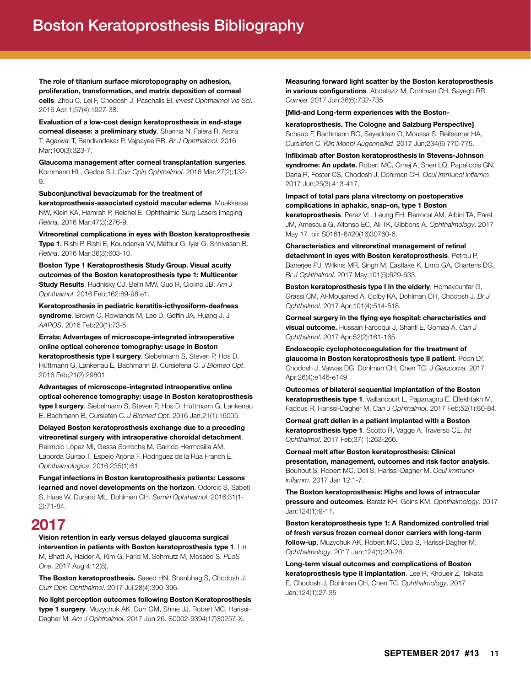The role of titanium surface microtopography on adhesion, proliferation, transformation, and matrix deposition of corneal cells. Zhou C, Lei F, Chodosh J, Paschalis EI. *Invest Ophthalmol Vis Sci*. 2016 Apr 1;57(4):1927-38.

Evaluation of a low-cost design keratoprosthesis in end-stage corneal disease: a preliminary study. Sharma N, Falera R, Arora T, Agarwal T, Bandivadekar P, Vajpayee RB. *Br J Ophthalmol*. 2016 Mar;100(3):323-7.

Glaucoma management after corneal transplantation surgeries. Kornmann HL, Gedde SJ. *Curr Opin Ophthalmol*. 2016 Mar;27(2):132- 9.

Subconjunctival bevacizumab for the treatment of

keratoprosthesis-associated cystoid macular edema. Muakkassa NW, Klein KA, Hamrah P, Reichel E. Ophthalmic Surg Lasers Imaging *Retina*. 2016 Mar;47(3):276-9.

Vitreoretinal complications in eyes with Boston keratoprosthesis Type 1. Rishi P, Rishi E, Koundanya VV, Mathur G, Iyer G, Srinivasan B. *Retina*. 2016 Mar;36(3):603-10.

Boston Type 1 Keratoprosthesis Study Group. Visual acuity outcomes of the Boston keratoprosthesis type 1: Multicenter Study Results. Rudnisky CJ, Belin MW, Guo R, Ciolino JB. *Am J Ophthalmol*. 2016 Feb;162:89-98.e1.

Keratoprosthesis in pediatric keratitis-icthyosiform-deafness syndrome. Brown C, Rowlands M, Lee D, Geffin JA, Huang J. J *AAPOS*. 2016 Feb;20(1):73-5.

Errata: Advantages of microscope-integrated intraoperative online optical coherence tomography: usage in Boston keratoprosthesis type I surgery. Siebelmann S, Steven P, Hos D, Hüttmann G, Lankenau E, Bachmann B, Cursiefena C. *J Biomed Opt*. 2016 Feb;21(2):29801.

Advantages of microscope-integrated intraoperative online optical coherence tomography: usage in Boston keratoprosthesis type I surgery. Siebelmann S, Steven P, Hos D, Hüttmann G, Lankenau E, Bachmann B, Cursiefen C. *J Biomed Opt*. 2016 Jan;21(1):16005.

Delayed Boston keratoprosthesis exchange due to a preceding vitreoretinal surgery with intraoperative choroidal detachment. Relimpio López MI, Gessa Sorroche M, Garrido Hermosilla AM, Laborda Guirao T, Espejo Arjona F, Rodríguez de la Rúa Franch E. *Ophthalmologica*. 2016;235(1):61.

Fungal infections in Boston keratoprosthesis patients: Lessons learned and novel developments on the horizon. Odorcic S, Sabeti S, Haas W, Durand ML, Dohlman CH. *Semin Ophthalmol*. 2016;31(1- 2):71-84.

### 2017

Vision retention in early versus delayed glaucoma surgical intervention in patients with Boston keratoprosthesis type 1. Lin M, Bhatt A, Haider A, Kim G, Farid M, Schmutz M, Mosaed S. *PLoS One*. 2017 Aug 4;12(8).

The Boston keratoprosthesis. Saeed HN, Shanbhag S, Chodosh J. *Curr Opin Ophthalmol*. 2017 Jul;28(4):390-396.

No light perception outcomes following Boston Keratoprosthesis type 1 surgery. Muzychuk AK, Durr GM, Shine JJ, Robert MC, Harissi-Dagher M. *Am J Ophthalmol*. 2017 Jun 26. S0002-9394(17)30257-X.

Measuring forward light scatter by the Boston keratoprosthesis in various configurations. Abdelaziz M, Dohlman CH, Sayegh RR. *Cornea*. 2017 Jun;36(6):732-735.

[Mid-and Long-term experiences with the Boston-

keratoprosthesis. The Cologne and Salzburg Perspective]. Schaub F, Bachmann BO, Seyeddain O, Moussa S, Reitsamer HA, Cursiefen C. *Klin Monbl Augenheilkd*. 2017 Jun;234(6) 770-775.

Infliximab after Boston keratoprosthesis in Stevens-Johnson syndrome: An update. Robert MC, Crnej A, Shen LQ, Papaliodis GN, Dana R, Foster CS, Chodosh J, Dohlman CH. *Ocul Immunol Inflamm*. 2017 Jun;25(3):413-417.

Impact of total pars plana vitrectomy on postoperative complications in aphakic, snap-on, type 1 Boston

keratoprosthesis. Perez VL, Leung EH, Berrocal AM, Albini TA, Parel JM, Amescua G, Alfonso EC, Ali TK, Gibbons A. *Ophthalmology*. 2017 May 17. pii: S0161-6420(16)30760-6.

Characteristics and vitreoretinal management of retinal detachment in eyes with Boston keratoprosthesis. Petrou P, Banerjee PJ, Wilkins MR, Singh M, Eastlake K, Limb GA, Charteris DG. *Br J Ophthalmol*. 2017 May;101(5):629-633.

Boston keratoprosthesis type I in the elderly. Homayounfar G, Grassi CM, Al-Moujahed A, Colby KA, Dohlman CH, Chodosh J. *Br J Ophthalmol*. 2017 Apr;101(4):514-518.

Corneal surgery in the flying eye hospital: characteristics and visual outcome. Hussain Farooqui J, Sharifi E, Gomaa A. *Can J Ophthalmol*. 2017 Apr;52(2):161-165.

Endoscopic cyclophotocoagulation for the treatment of glaucoma in Boston keratoprosthesis type II patient. Poon LY, Chodosh J, Vavvas DG, Dohlman CH, Chen TC. *J Glaucoma*. 2017 Apr;26(4):e146-e149.

Outcomes of bilateral sequential implantation of the Boston keratoprosthesis type 1. Vaillancourt L, Papanagnu E, Elfekhfakh M, Fadous R, Harissi-Dagher M. *Can J Ophthalmol*. 2017 Feb;52(1):80-84.

Corneal graft dellen in a patient implanted with a Boston keratoprosthesis type 1. Scotto R, Vagge A, Traverso CE. *Int Ophthalmol*. 2017 Feb;37(1):263-266.

Corneal melt after Boston keratoprosthesis: Clinical presentation, management, outcomes and risk factor analysis. Bouhout S, Robert MC, Deli S, Harissi-Dagher M. *Ocul Immunol Inflamm*. 2017 Jan 12:1-7.

The Boston keratoprosthesis: Highs and lows of intraocular pressure and outcomes. Baratz KH, Goins KM. *Ophthalmology*. 2017 Jan;124(1):9-11.

Boston keratoprosthesis type 1: A Randomized controlled trial of fresh versus frozen corneal donor carriers with long-term follow-up. Muzychuk AK, Robert MC, Dao S, Harissi-Dagher M. *Ophthalmology*. 2017 Jan;124(1):20-26.

Long-term visual outcomes and complications of Boston keratoprosthesis type II implantation. Lee R, Khoueir Z, Tsikata E, Chodosh J, Dohlman CH, Chen TC. *Ophthalmology*. 2017 Jan;124(1):27-35